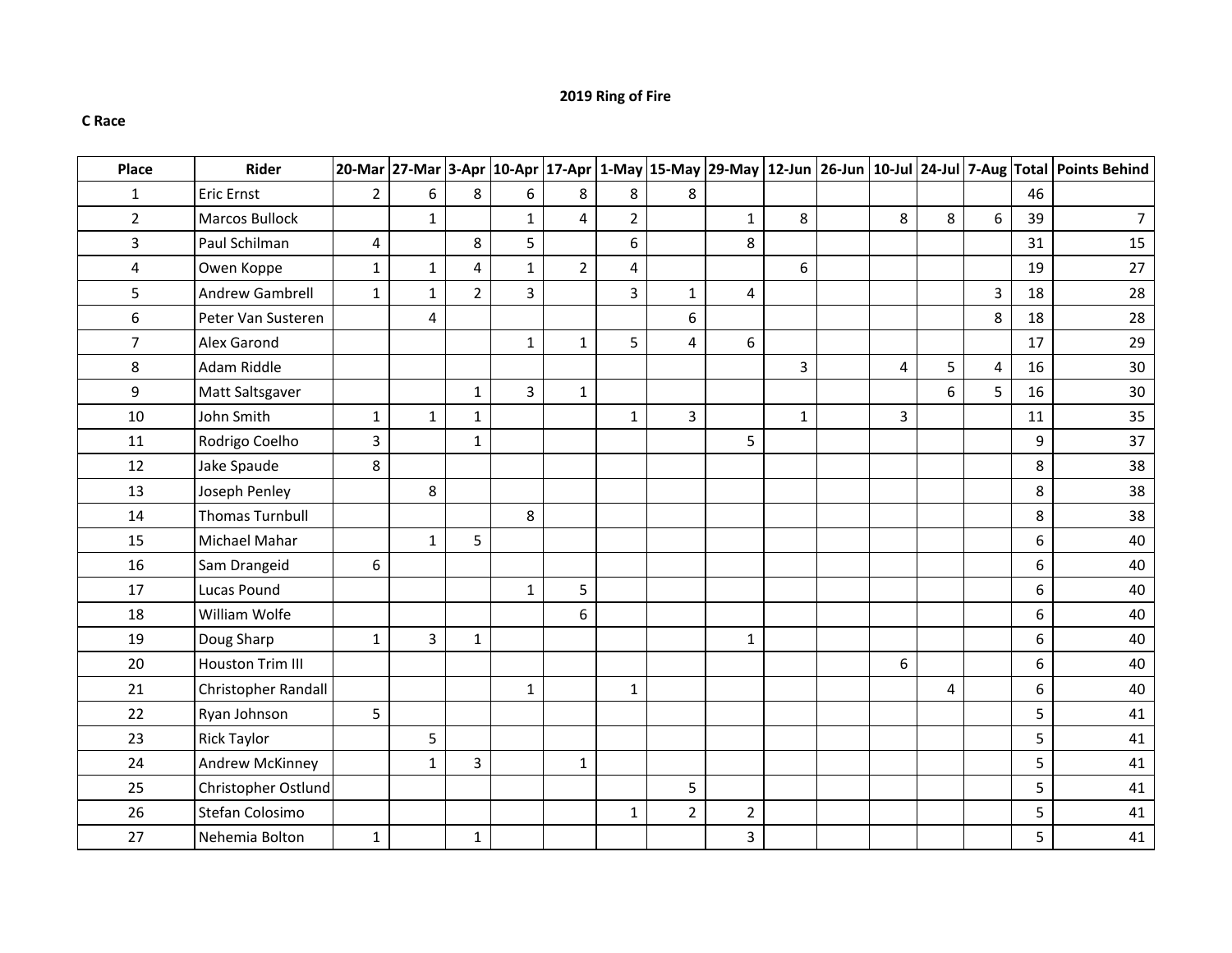## **2019 Ring of Fire**

## **C Race**

| Place                   | <b>Rider</b>            |                |                |                |                |                |                |                |                |              |                |   |   |    | 20-Mar  27-Mar  3-Apr  10-Apr  17-Apr  1-May  15-May  29-May  12-Jun  26-Jun  10-Jul  24-Jul  7-Aug  Total  Points Behind |
|-------------------------|-------------------------|----------------|----------------|----------------|----------------|----------------|----------------|----------------|----------------|--------------|----------------|---|---|----|---------------------------------------------------------------------------------------------------------------------------|
| $\mathbf{1}$            | <b>Eric Ernst</b>       | $\overline{2}$ | 6              | 8              | 6              | 8              | 8              | 8              |                |              |                |   |   | 46 |                                                                                                                           |
| $\overline{2}$          | <b>Marcos Bullock</b>   |                | $\mathbf{1}$   |                | $\mathbf{1}$   | $\overline{4}$ | $\overline{2}$ |                | $\mathbf{1}$   | 8            | 8              | 8 | 6 | 39 | $\overline{7}$                                                                                                            |
| 3                       | Paul Schilman           | 4              |                | 8              | 5              |                | 6              |                | 8              |              |                |   |   | 31 | 15                                                                                                                        |
| $\overline{\mathbf{4}}$ | Owen Koppe              | $\mathbf{1}$   | $\mathbf 1$    | 4              | $\mathbf{1}$   | $\overline{2}$ | 4              |                |                | 6            |                |   |   | 19 | 27                                                                                                                        |
| 5                       | Andrew Gambrell         | $\mathbf{1}$   | $\mathbf{1}$   | $\overline{2}$ | $\overline{3}$ |                | $\overline{3}$ | $\mathbf{1}$   | 4              |              |                |   | 3 | 18 | 28                                                                                                                        |
| 6                       | Peter Van Susteren      |                | 4              |                |                |                |                | 6              |                |              |                |   | 8 | 18 | 28                                                                                                                        |
| $\overline{7}$          | Alex Garond             |                |                |                | $\mathbf{1}$   | $\mathbf{1}$   | 5              | $\overline{4}$ | $6\,$          |              |                |   |   | 17 | 29                                                                                                                        |
| 8                       | Adam Riddle             |                |                |                |                |                |                |                |                | 3            | 4              | 5 | 4 | 16 | 30                                                                                                                        |
| 9                       | Matt Saltsgaver         |                |                | $\mathbf{1}$   | 3              | $\mathbf{1}$   |                |                |                |              |                | 6 | 5 | 16 | 30                                                                                                                        |
| $10\,$                  | John Smith              | $\mathbf 1$    | $\mathbf{1}$   | $\mathbf 1$    |                |                | $\mathbf 1$    | 3              |                | $\mathbf{1}$ | $\overline{3}$ |   |   | 11 | 35                                                                                                                        |
| 11                      | Rodrigo Coelho          | $\overline{3}$ |                | $\mathbf{1}$   |                |                |                |                | 5              |              |                |   |   | 9  | 37                                                                                                                        |
| 12                      | Jake Spaude             | 8              |                |                |                |                |                |                |                |              |                |   |   | 8  | 38                                                                                                                        |
| 13                      | Joseph Penley           |                | 8              |                |                |                |                |                |                |              |                |   |   | 8  | 38                                                                                                                        |
| 14                      | <b>Thomas Turnbull</b>  |                |                |                | 8              |                |                |                |                |              |                |   |   | 8  | 38                                                                                                                        |
| 15                      | Michael Mahar           |                | $\mathbf{1}$   | 5              |                |                |                |                |                |              |                |   |   | 6  | 40                                                                                                                        |
| 16                      | Sam Drangeid            | 6              |                |                |                |                |                |                |                |              |                |   |   | 6  | 40                                                                                                                        |
| 17                      | <b>Lucas Pound</b>      |                |                |                | $\mathbf{1}$   | 5              |                |                |                |              |                |   |   | 6  | 40                                                                                                                        |
| 18                      | William Wolfe           |                |                |                |                | 6              |                |                |                |              |                |   |   | 6  | 40                                                                                                                        |
| 19                      | Doug Sharp              | $\mathbf 1$    | $\overline{3}$ | $\mathbf 1$    |                |                |                |                | $\mathbf 1$    |              |                |   |   | 6  | 40                                                                                                                        |
| 20                      | <b>Houston Trim III</b> |                |                |                |                |                |                |                |                |              | 6              |   |   | 6  | 40                                                                                                                        |
| 21                      | Christopher Randall     |                |                |                | $1\,$          |                | $\mathbf{1}$   |                |                |              |                | 4 |   | 6  | 40                                                                                                                        |
| 22                      | Ryan Johnson            | 5              |                |                |                |                |                |                |                |              |                |   |   | 5  | 41                                                                                                                        |
| 23                      | <b>Rick Taylor</b>      |                | 5              |                |                |                |                |                |                |              |                |   |   | 5  | 41                                                                                                                        |
| 24                      | Andrew McKinney         |                | $\mathbf{1}$   | 3              |                | $\mathbf{1}$   |                |                |                |              |                |   |   | 5  | 41                                                                                                                        |
| 25                      | Christopher Ostlund     |                |                |                |                |                |                | 5              |                |              |                |   |   | 5  | 41                                                                                                                        |
| 26                      | Stefan Colosimo         |                |                |                |                |                | $\mathbf{1}$   | $\overline{2}$ | $\overline{2}$ |              |                |   |   | 5  | 41                                                                                                                        |
| 27                      | Nehemia Bolton          | $\mathbf{1}$   |                | $\mathbf 1$    |                |                |                |                | 3              |              |                |   |   | 5  | 41                                                                                                                        |